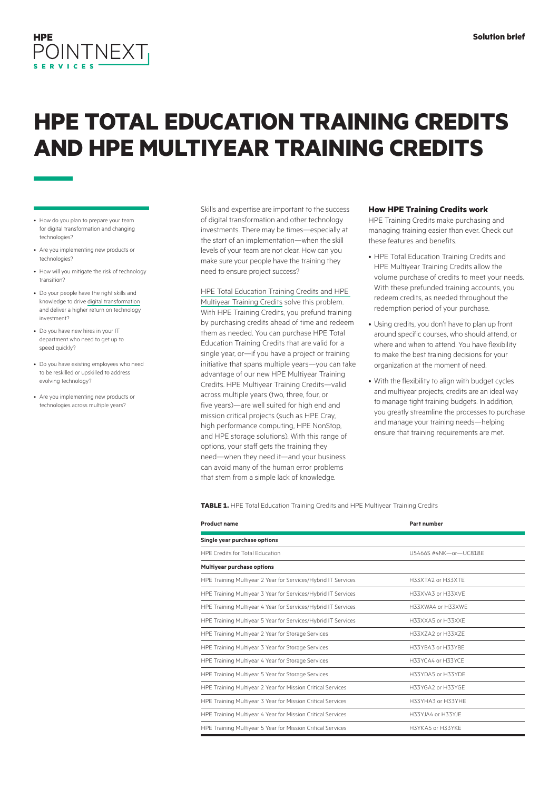

# **HPE TOTAL EDUCATION TRAINING CREDITS AND HPE MULTIYEAR TRAINING CREDITS**

- How do you plan to prepare your team for digital transformation and changing technologies?
- Are you implementing new products or technologies?
- How will you mitigate the risk of technology transition?
- Do your people have the right skills and knowledge to drive [digital transformation](https://www.hpe.com/us/en/what-is/digital-transformation.html) and deliver a higher return on technology investment?
- Do you have new hires in your IT department who need to get up to speed quickly?
- Do you have existing employees who need to be reskilled or upskilled to address evolving technology?
- Are you implementing new products or technologies across multiple years?

Skills and expertise are important to the success of digital transformation and other technology investments. There may be times—especially at the start of an implementation—when the skill levels of your team are not clear. How can you make sure your people have the training they need to ensure project success?

#### [HPE Total Education Training Credits and HPE](http://hpe.com/ww/purchaseoptions)

[Multiyear Training Credits](http://hpe.com/ww/purchaseoptions) solve this problem. With HPE Training Credits, you prefund training by purchasing credits ahead of time and redeem them as needed. You can purchase HPE Total Education Training Credits that are valid for a single year, or—if you have a project or training initiative that spans multiple years—you can take advantage of our new HPE Multiyear Training Credits. HPE Multiyear Training Credits—valid across multiple years (two, three, four, or five years)—are well suited for high end and mission critical projects (such as HPE Cray, high performance computing, HPE NonStop, and HPE storage solutions). With this range of options, your staff gets the training they need—when they need it—and your business can avoid many of the human error problems that stem from a simple lack of knowledge.

#### **How HPE Training Credits work**

HPE Training Credits make purchasing and managing training easier than ever. Check out these features and benefits.

- HPE Total Education Training Credits and HPE Multiyear Training Credits allow the volume purchase of credits to meet your needs. With these prefunded training accounts, you redeem credits, as needed throughout the redemption period of your purchase.
- Using credits, you don't have to plan up front around specific courses, who should attend, or where and when to attend. You have flexibility to make the best training decisions for your organization at the moment of need.
- With the flexibility to align with budget cycles and multiyear projects, credits are an ideal way to manage tight training budgets. In addition, you greatly streamline the processes to purchase and manage your training needs—helping ensure that training requirements are met.

**TABLE 1.** HPE Total Education Training Credits and HPE Multiyear Training Credits

| <b>Product name</b>                                           | Part number           |
|---------------------------------------------------------------|-----------------------|
| Single year purchase options                                  |                       |
| HPF Credits for Total Education                               | U5466S #4NK-or-UC818F |
| <b>Multiyear purchase options</b>                             |                       |
| HPE Training Multiyear 2 Year for Services/Hybrid IT Services | H33XTA2 or H33XTF     |
| HPE Training Multiyear 3 Year for Services/Hybrid IT Services | H33XVA3 or H33XVF     |
| HPE Training Multiyear 4 Year for Services/Hybrid IT Services | H33XWA4 or H33XWF     |
| HPE Training Multiyear 5 Year for Services/Hybrid IT Services | H33XXA5 or H33XXF     |
| HPE Training Multiyear 2 Year for Storage Services            | H33X7A2 or H33X7F     |
| HPE Training Multiyear 3 Year for Storage Services            | H33YBA3 or H33YBF     |
| HPE Training Multiyear 4 Year for Storage Services            | H33YCA4 or H33YCF     |
| HPE Training Multiyear 5 Year for Storage Services            | H33YDA5 or H33YDF     |
| HPE Training Multiyear 2 Year for Mission Critical Services   | H33YGA2 or H33YGF     |
| HPE Training Multiyear 3 Year for Mission Critical Services   | H33YHA3 or H33YHF     |
| HPE Training Multiyear 4 Year for Mission Critical Services   | H33YJA4 or H33YJF     |
| HPE Training Multiyear 5 Year for Mission Critical Services   | H3YKA5 or H33YKF      |